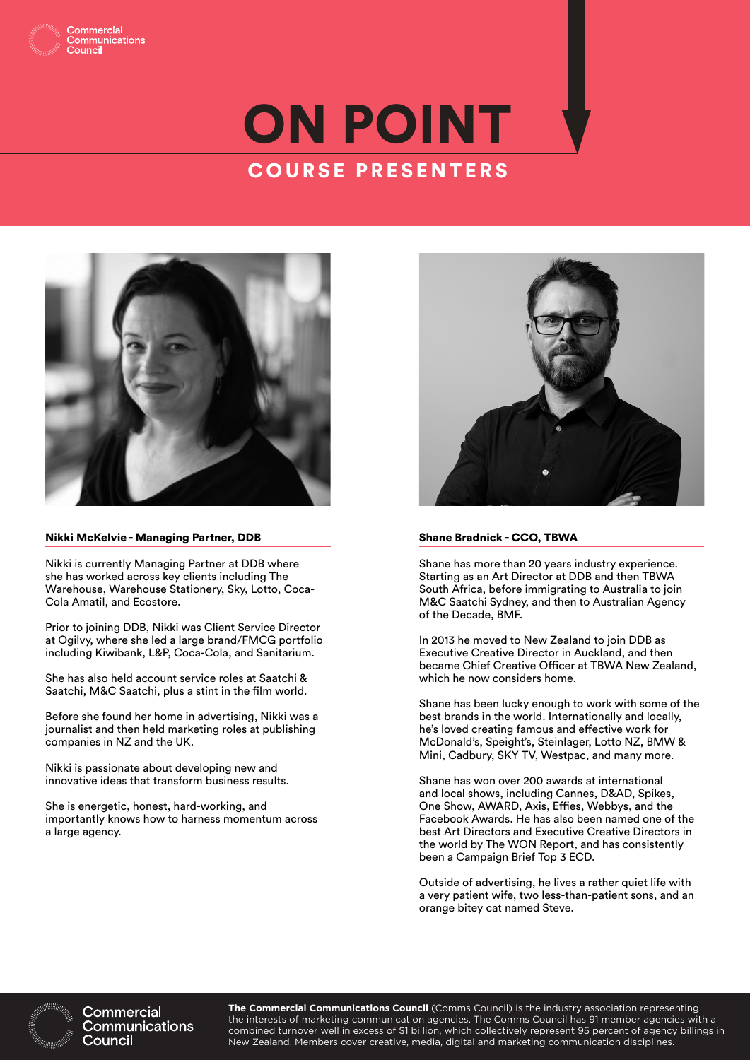

### ommunications

# ON POINT COURSE PRESENTERS



#### Nikki McKelvie - Managing Partner, DDB

Nikki is currently Managing Partner at DDB where she has worked across key clients including The Warehouse, Warehouse Stationery, Sky, Lotto, Coca-Cola Amatil, and Ecostore.

Prior to joining DDB, Nikki was Client Service Director at Ogilvy, where she led a large brand/FMCG portfolio including Kiwibank, L&P, Coca-Cola, and Sanitarium.

She has also held account service roles at Saatchi & Saatchi, M&C Saatchi, plus a stint in the film world.

Before she found her home in advertising, Nikki was a journalist and then held marketing roles at publishing companies in NZ and the UK.

Nikki is passionate about developing new and innovative ideas that transform business results.

She is energetic, honest, hard-working, and importantly knows how to harness momentum across a large agency.



#### Shane Bradnick - CCO, TBWA

Shane has more than 20 years industry experience. Starting as an Art Director at DDB and then TBWA South Africa, before immigrating to Australia to join M&C Saatchi Sydney, and then to Australian Agency of the Decade, BMF.

In 2013 he moved to New Zealand to join DDB as Executive Creative Director in Auckland, and then became Chief Creative Officer at TBWA New Zealand, which he now considers home.

Shane has been lucky enough to work with some of the best brands in the world. Internationally and locally, he's loved creating famous and effective work for McDonald's, Speight's, Steinlager, Lotto NZ, BMW & Mini, Cadbury, SKY TV, Westpac, and many more.

Shane has won over 200 awards at international and local shows, including Cannes, D&AD, Spikes, One Show, AWARD, Axis, Effies, Webbys, and the Facebook Awards. He has also been named one of the best Art Directors and Executive Creative Directors in the world by The WON Report, and has consistently been a Campaign Brief Top 3 ECD.

Outside of advertising, he lives a rather quiet life with a very patient wife, two less-than-patient sons, and an orange bitey cat named Steve.



Commercial Communications Council

**The Commercial Communications Council** (Comms Council) is the industry association representing the interests of marketing communication agencies. The Comms Council has 91 member agencies with a combined turnover well in excess of \$1 billion, which collectively represent 95 percent of agency billings in New Zealand. Members cover creative, media, digital and marketing communication disciplines.